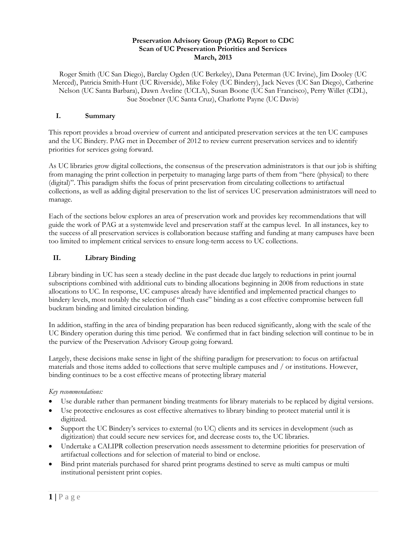#### **Preservation Advisory Group (PAG) Report to CDC Scan of UC Preservation Priorities and Services March, 2013**

Roger Smith (UC San Diego), Barclay Ogden (UC Berkeley), Dana Peterman (UC Irvine), Jim Dooley (UC Merced), Patricia Smith-Hunt (UC Riverside), Mike Foley (UC Bindery), Jack Neves (UC San Diego), Catherine Nelson (UC Santa Barbara), Dawn Aveline (UCLA), Susan Boone (UC San Francisco), Perry Willet (CDL), Sue Stoebner (UC Santa Cruz), Charlotte Payne (UC Davis)

### **I. Summary**

This report provides a broad overview of current and anticipated preservation services at the ten UC campuses and the UC Bindery. PAG met in December of 2012 to review current preservation services and to identify priorities for services going forward.

As UC libraries grow digital collections, the consensus of the preservation administrators is that our job is shifting from managing the print collection in perpetuity to managing large parts of them from "here (physical) to there (digital)". This paradigm shifts the focus of print preservation from circulating collections to artifactual collections, as well as adding digital preservation to the list of services UC preservation administrators will need to manage.

Each of the sections below explores an area of preservation work and provides key recommendations that will guide the work of PAG at a systemwide level and preservation staff at the campus level. In all instances, key to the success of all preservation services is collaboration because staffing and funding at many campuses have been too limited to implement critical services to ensure long-term access to UC collections.

## **II. Library Binding**

Library binding in UC has seen a steady decline in the past decade due largely to reductions in print journal subscriptions combined with additional cuts to binding allocations beginning in 2008 from reductions in state allocations to UC. In response, UC campuses already have identified and implemented practical changes to bindery levels, most notably the selection of "flush case" binding as a cost effective compromise between full buckram binding and limited circulation binding.

In addition, staffing in the area of binding preparation has been reduced significantly, along with the scale of the UC Bindery operation during this time period. We confirmed that in fact binding selection will continue to be in the purview of the Preservation Advisory Group going forward.

Largely, these decisions make sense in light of the shifting paradigm for preservation: to focus on artifactual materials and those items added to collections that serve multiple campuses and / or institutions. However, binding continues to be a cost effective means of protecting library material

#### *Key recommendations:*

- Use durable rather than permanent binding treatments for library materials to be replaced by digital versions.
- Use protective enclosures as cost effective alternatives to library binding to protect material until it is digitized.
- Support the UC Bindery's services to external (to UC) clients and its services in development (such as digitization) that could secure new services for, and decrease costs to, the UC libraries.
- Undertake a CALIPR collection preservation needs assessment to determine priorities for preservation of artifactual collections and for selection of material to bind or enclose.
- Bind print materials purchased for shared print programs destined to serve as multi campus or multi institutional persistent print copies.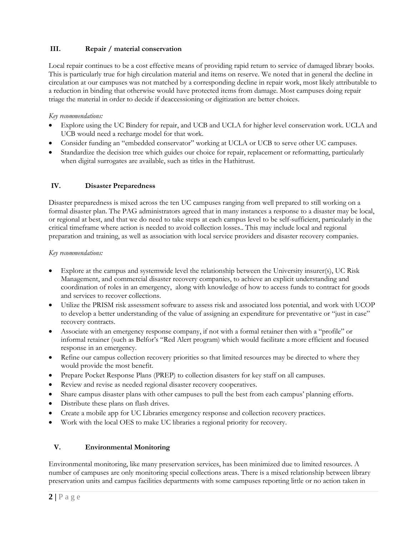## **III. Repair / material conservation**

Local repair continues to be a cost effective means of providing rapid return to service of damaged library books. This is particularly true for high circulation material and items on reserve. We noted that in general the decline in circulation at our campuses was not matched by a corresponding decline in repair work, most likely attributable to a reduction in binding that otherwise would have protected items from damage. Most campuses doing repair triage the material in order to decide if deaccessioning or digitization are better choices.

## *Key recommendations:*

- Explore using the UC Bindery for repair, and UCB and UCLA for higher level conservation work. UCLA and UCB would need a recharge model for that work.
- Consider funding an "embedded conservator" working at UCLA or UCB to serve other UC campuses.
- Standardize the decision tree which guides our choice for repair, replacement or reformatting, particularly when digital surrogates are available, such as titles in the Hathitrust.

# **IV. Disaster Preparedness**

Disaster preparedness is mixed across the ten UC campuses ranging from well prepared to still working on a formal disaster plan. The PAG administrators agreed that in many instances a response to a disaster may be local, or regional at best, and that we do need to take steps at each campus level to be self-sufficient, particularly in the critical timeframe where action is needed to avoid collection losses.. This may include local and regional preparation and training, as well as association with local service providers and disaster recovery companies.

### *Key recommendations:*

- Explore at the campus and systemwide level the relationship between the University insurer(s), UC Risk Management, and commercial disaster recovery companies, to achieve an explicit understanding and coordination of roles in an emergency, along with knowledge of how to access funds to contract for goods and services to recover collections.
- Utilize the PRISM risk assessment software to assess risk and associated loss potential, and work with UCOP to develop a better understanding of the value of assigning an expenditure for preventative or "just in case" recovery contracts.
- Associate with an emergency response company, if not with a formal retainer then with a "profile" or informal retainer (such as Belfor's "Red Alert program) which would facilitate a more efficient and focused response in an emergency.
- Refine our campus collection recovery priorities so that limited resources may be directed to where they would provide the most benefit.
- Prepare Pocket Response Plans (PREP) to collection disasters for key staff on all campuses.
- Review and revise as needed regional disaster recovery cooperatives.
- Share campus disaster plans with other campuses to pull the best from each campus' planning efforts.
- Distribute these plans on flash drives.
- Create a mobile app for UC Libraries emergency response and collection recovery practices.
- Work with the local OES to make UC libraries a regional priority for recovery.

# **V. Environmental Monitoring**

Environmental monitoring, like many preservation services, has been minimized due to limited resources. A number of campuses are only monitoring special collections areas. There is a mixed relationship between library preservation units and campus facilities departments with some campuses reporting little or no action taken in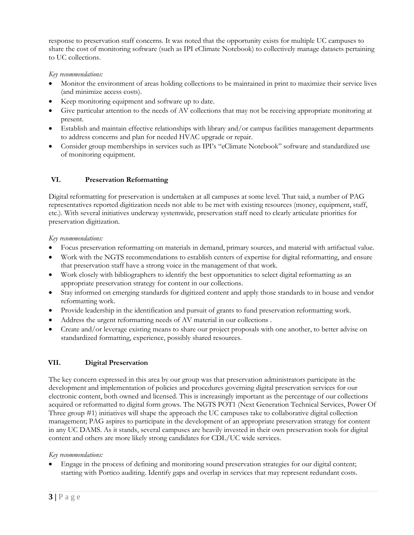response to preservation staff concerns. It was noted that the opportunity exists for multiple UC campuses to share the cost of monitoring software (such as IPI eClimate Notebook) to collectively manage datasets pertaining to UC collections.

### *Key recommendations:*

- Monitor the environment of areas holding collections to be maintained in print to maximize their service lives (and minimize access costs).
- Keep monitoring equipment and software up to date.
- Give particular attention to the needs of AV collections that may not be receiving appropriate monitoring at present.
- Establish and maintain effective relationships with library and/or campus facilities management departments to address concerns and plan for needed HVAC upgrade or repair.
- Consider group memberships in services such as IPI's "eClimate Notebook" software and standardized use of monitoring equipment.

## **VI. Preservation Reformatting**

Digital reformatting for preservation is undertaken at all campuses at some level. That said, a number of PAG representatives reported digitization needs not able to be met with existing resources (money, equipment, staff, etc.). With several initiatives underway systemwide, preservation staff need to clearly articulate priorities for preservation digitization.

*Key recommendations:*

- Focus preservation reformatting on materials in demand, primary sources, and material with artifactual value.
- Work with the NGTS recommendations to establish centers of expertise for digital reformatting, and ensure that preservation staff have a strong voice in the management of that work.
- Work closely with bibliographers to identify the best opportunities to select digital reformatting as an appropriate preservation strategy for content in our collections.
- Stay informed on emerging standards for digitized content and apply those standards to in house and vendor reformatting work.
- Provide leadership in the identification and pursuit of grants to fund preservation reformatting work.
- Address the urgent reformatting needs of AV material in our collections .
- Create and/or leverage existing means to share our project proposals with one another, to better advise on standardized formatting, experience, possibly shared resources.

## **VII. Digital Preservation**

The key concern expressed in this area by our group was that preservation administrators participate in the development and implementation of policies and procedures governing digital preservation services for our electronic content, both owned and licensed. This is increasingly important as the percentage of our collections acquired or reformatted to digital form grows. The NGTS POT1 (Next Generation Technical Services, Power Of Three group #1) initiatives will shape the approach the UC campuses take to collaborative digital collection management; PAG aspires to participate in the development of an appropriate preservation strategy for content in any UC DAMS. As it stands, several campuses are heavily invested in their own preservation tools for digital content and others are more likely strong candidates for CDL/UC wide services.

## *Key recommendations:*

 Engage in the process of defining and monitoring sound preservation strategies for our digital content; starting with Portico auditing. Identify gaps and overlap in services that may represent redundant costs.